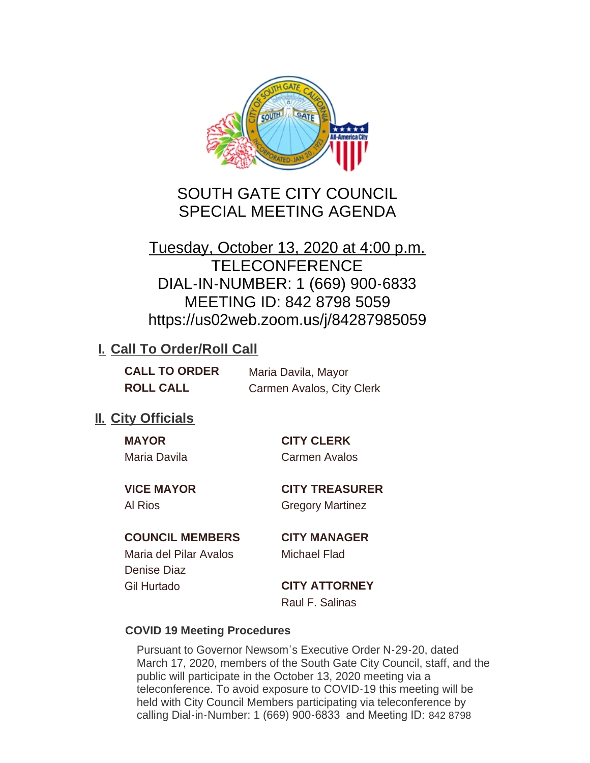

# SOUTH GATE CITY COUNCIL SPECIAL MEETING AGENDA

# Tuesday, October 13, 2020 at 4:00 p.m. **TELECONFERENCE** DIAL-IN-NUMBER: 1 (669) 900-6833 MEETING ID: 842 8798 5059 https://us02web.zoom.us/j/84287985059

# **I. Call To Order/Roll Call**

| <b>CALL TO ORDER</b> | Maria Davila, Mayor       |
|----------------------|---------------------------|
| <b>ROLL CALL</b>     | Carmen Avalos, City Clerk |

## **II.** City Officials

| <b>MAYOR</b> |  |
|--------------|--|
| Maria Davila |  |

**MAYOR CITY CLERK** Carmen Avalos

**VICE MAYOR CITY TREASURER** Al Rios Gregory Martinez

## **COUNCIL MEMBERS CITY MANAGER**

Maria del Pilar Avalos Michael Flad Denise Diaz Gil Hurtado **CITY ATTORNEY**

Raul F. Salinas

## **COVID 19 Meeting Procedures**

Pursuant to Governor Newsom's Executive Order N-29-20, dated March 17, 2020, members of the South Gate City Council, staff, and the public will participate in the October 13, 2020 meeting via a teleconference. To avoid exposure to COVID-19 this meeting will be held with City Council Members participating via teleconference by calling Dial-in-Number: 1 (669) 900-6833 and Meeting ID: 842 8798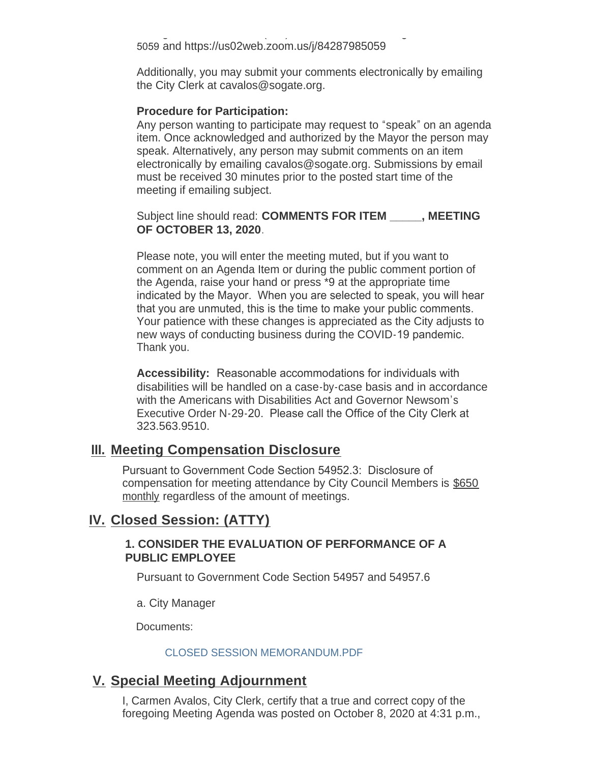calling Dial-in-Number: 1 (669) 900-6833 and Meeting ID: 842 8798 5059 and https://us02web.zoom.us/j/84287985059

Additionally, you may submit your comments electronically by emailing the City Clerk at cavalos@sogate.org.

#### **Procedure for Participation:**

Any person wanting to participate may request to "speak" on an agenda item. Once acknowledged and authorized by the Mayor the person may speak. Alternatively, any person may submit comments on an item electronically by emailing cavalos@sogate.org. Submissions by email must be received 30 minutes prior to the posted start time of the meeting if emailing subject.

Subject line should read: **COMMENTS FOR ITEM \_\_\_\_\_, MEETING OF OCTOBER 13, 2020**.

Please note, you will enter the meeting muted, but if you want to comment on an Agenda Item or during the public comment portion of the Agenda, raise your hand or press \*9 at the appropriate time indicated by the Mayor. When you are selected to speak, you will hear that you are unmuted, this is the time to make your public comments. Your patience with these changes is appreciated as the City adjusts to new ways of conducting business during the COVID-19 pandemic. Thank you.

**Accessibility:** Reasonable accommodations for individuals with disabilities will be handled on a case-by-case basis and in accordance with the Americans with Disabilities Act and Governor Newsom's Executive Order N-29-20. Please call the Office of the City Clerk at 323.563.9510.

## **Meeting Compensation Disclosure III.**

Pursuant to Government Code Section 54952.3: Disclosure of compensation for meeting attendance by City Council Members is \$650 monthly regardless of the amount of meetings.

## **Closed Session: (ATTY) IV.**

#### **1. CONSIDER THE EVALUATION OF PERFORMANCE OF A PUBLIC EMPLOYEE**

Pursuant to Government Code Section 54957 and 54957.6

a. City Manager

Documents:

#### CLOSED SESSION MEMORANDUM.PDF

## **Special Meeting Adjournment V.**

I, Carmen Avalos, City Clerk, certify that a true and correct copy of the foregoing Meeting Agenda was posted on October 8, 2020 at 4:31 p.m.,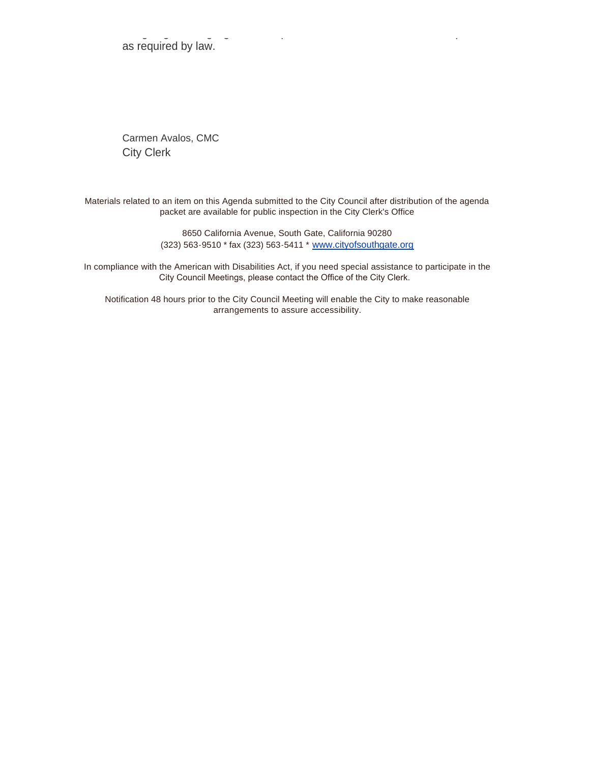foregoing Meeting Agenda was posted on October 8, 2020 at 4:31 p.m., as required by law.

Carmen Avalos, CMC City Clerk

Materials related to an item on this Agenda submitted to the City Council after distribution of the agenda packet are available for public inspection in the City Clerk's Office

> 8650 California Avenue, South Gate, California 90280 (323) 563-9510 \* fax (323) 563-5411 \* [www.cityofsouthgate.org](http://www.cityofsouthgate.org/)

In compliance with the American with Disabilities Act, if you need special assistance to participate in the City Council Meetings, please contact the Office of the City Clerk.

Notification 48 hours prior to the City Council Meeting will enable the City to make reasonable arrangements to assure accessibility.